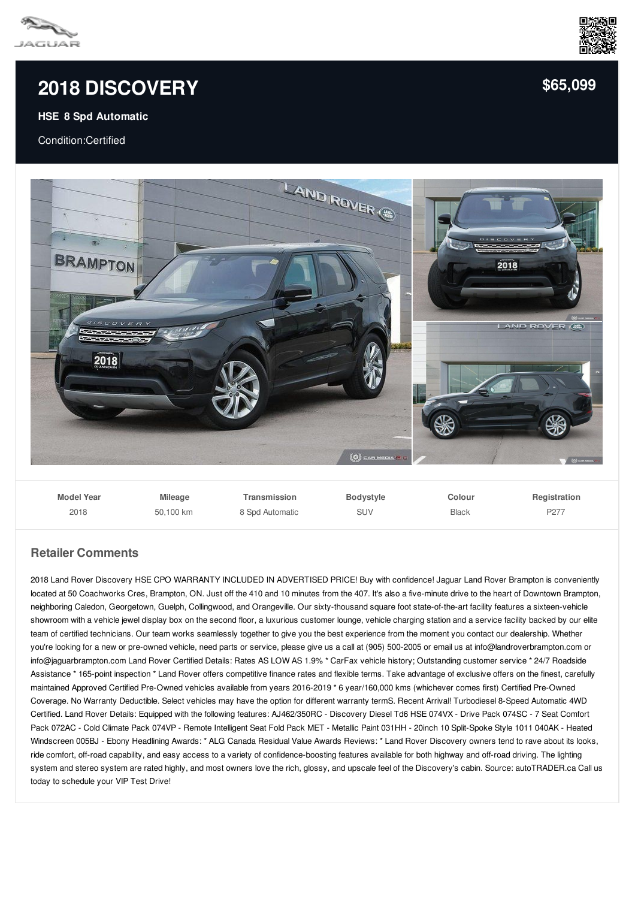

## **2018 [DISCOVERY](/used-certified/pdf/)**

## **HSE 8 Spd Automatic**

Condition:Certified



| <b>Model Year</b> | <b>Mileage</b> | Transmission    | Bodystyle | Colour       | Registration     |
|-------------------|----------------|-----------------|-----------|--------------|------------------|
| 2018              | 50.100 km      | 8 Spd Automatic | SUV       | <b>Black</b> | P <sub>277</sub> |

## **Retailer Comments**

2018 Land Rover Discovery HSE CPO WARRANTY INCLUDED IN ADVERTISED PRICE! Buy with confidence! Jaguar Land Rover Brampton is conveniently located at 50 Coachworks Cres, Brampton, ON. Just off the 410 and 10 minutes from the 407. It's also a five-minute drive to the heart of Downtown Brampton, neighboring Caledon, Georgetown, Guelph, Collingwood, and Orangeville. Our sixty-thousand square foot state-of-the-art facility features a sixteen-vehicle showroom with a vehicle jewel display box on the second floor, a luxurious customer lounge, vehicle charging station and a service facility backed by our elite team of certified technicians. Our team works seamlessly together to give you the best experience from the moment you contact our dealership. Whether you're looking for a new or pre-owned vehicle, need parts or service, please give us a call at (905) 500-2005 or email us at info@landroverbrampton.com or info@jaguarbrampton.com Land Rover Certified Details: Rates AS LOW AS 1.9% \* CarFax vehicle history; Outstanding customer service \* 24/7 Roadside Assistance \* 165-point inspection \* Land Rover offers competitive finance rates and flexible terms. Take advantage of exclusive offers on the finest, carefully maintained Approved Certified Pre-Owned vehicles available from years 2016-2019 \* 6 year/160,000 kms (whichever comes first) Certified Pre-Owned Coverage. No Warranty Deductible. Select vehicles may have the option for different warranty termS. Recent Arrival! Turbodiesel 8-Speed Automatic 4WD Certified. Land Rover Details: Equipped with the following features: AJ462/350RC - Discovery Diesel Td6 HSE 074VX - Drive Pack 074SC - 7 Seat Comfort Pack 072AC - Cold Climate Pack 074VP - Remote Intelligent Seat Fold Pack MET - Metallic Paint 031HH - 20inch 10 Split-Spoke Style 1011 040AK - Heated Windscreen 005BJ - Ebony Headlining Awards: \* ALG Canada Residual Value Awards Reviews: \* Land Rover Discovery owners tend to rave about its looks, ride comfort, off-road capability, and easy access to a variety of confidence-boosting features available for both highway and off-road driving. The lighting system and stereo system are rated highly, and most owners love the rich, glossy, and upscale feel of the Discovery's cabin. Source: autoTRADER.ca Call us today to schedule your VIP Test Drive!



**[\\$65,099](/used-certified/pdf/)**